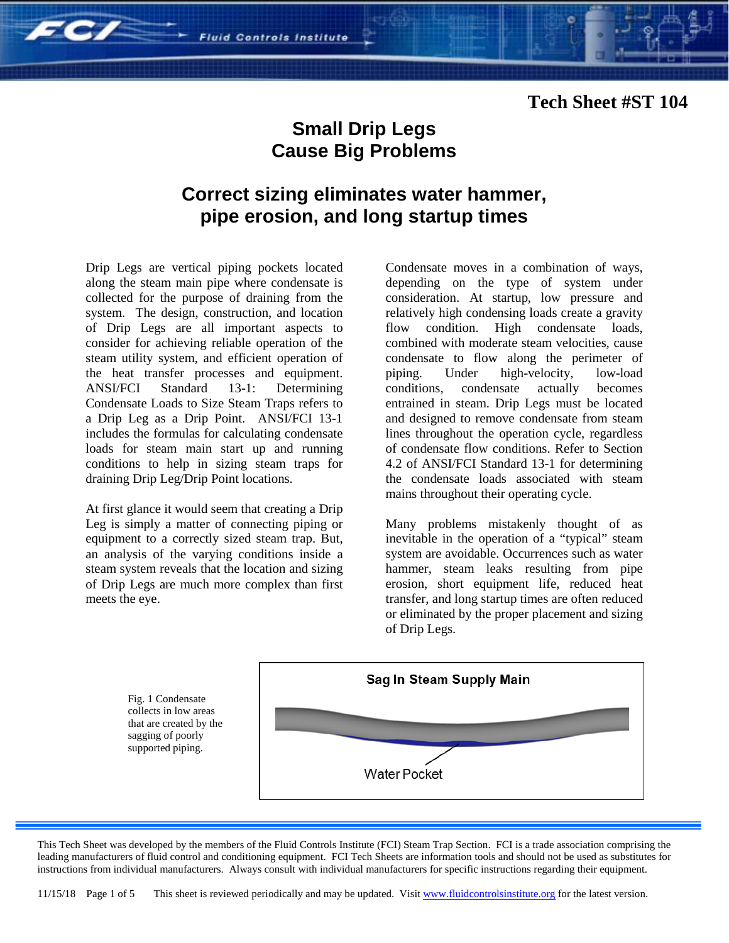### **Tech Sheet #ST 104**

 $FC/$ 

# **Small Drip Legs Cause Big Problems**

# **Correct sizing eliminates water hammer, pipe erosion, and long startup times**

Drip Legs are vertical piping pockets located along the steam main pipe where condensate is collected for the purpose of draining from the system. The design, construction, and location of Drip Legs are all important aspects to consider for achieving reliable operation of the steam utility system, and efficient operation of the heat transfer processes and equipment.<br>ANSI/FCI Standard 13-1: Determining ANSI/FCI Standard 13-1: Determining Condensate Loads to Size Steam Traps refers to a Drip Leg as a Drip Point. ANSI/FCI 13-1 includes the formulas for calculating condensate loads for steam main start up and running conditions to help in sizing steam traps for draining Drip Leg/Drip Point locations.

At first glance it would seem that creating a Drip Leg is simply a matter of connecting piping or equipment to a correctly sized steam trap. But, an analysis of the varying conditions inside a steam system reveals that the location and sizing of Drip Legs are much more complex than first meets the eye.

Condensate moves in a combination of ways, depending on the type of system under consideration. At startup, low pressure and relatively high condensing loads create a gravity flow condition. High condensate loads, combined with moderate steam velocities, cause condensate to flow along the perimeter of piping. Under high-velocity, low-load conditions, condensate actually becomes entrained in steam. Drip Legs must be located and designed to remove condensate from steam lines throughout the operation cycle, regardless of condensate flow conditions. Refer to Section 4.2 of ANSI/FCI Standard 13-1 for determining the condensate loads associated with steam mains throughout their operating cycle.

Many problems mistakenly thought of as inevitable in the operation of a "typical" steam system are avoidable. Occurrences such as water hammer, steam leaks resulting from pipe erosion, short equipment life, reduced heat transfer, and long startup times are often reduced or eliminated by the proper placement and sizing of Drip Legs.



This Tech Sheet was developed by the members of the Fluid Controls Institute (FCI) Steam Trap Section. FCI is a trade association comprising the leading manufacturers of fluid control and conditioning equipment. FCI Tech Sheets are information tools and should not be used as substitutes for instructions from individual manufacturers. Always consult with individual manufacturers for specific instructions regarding their equipment.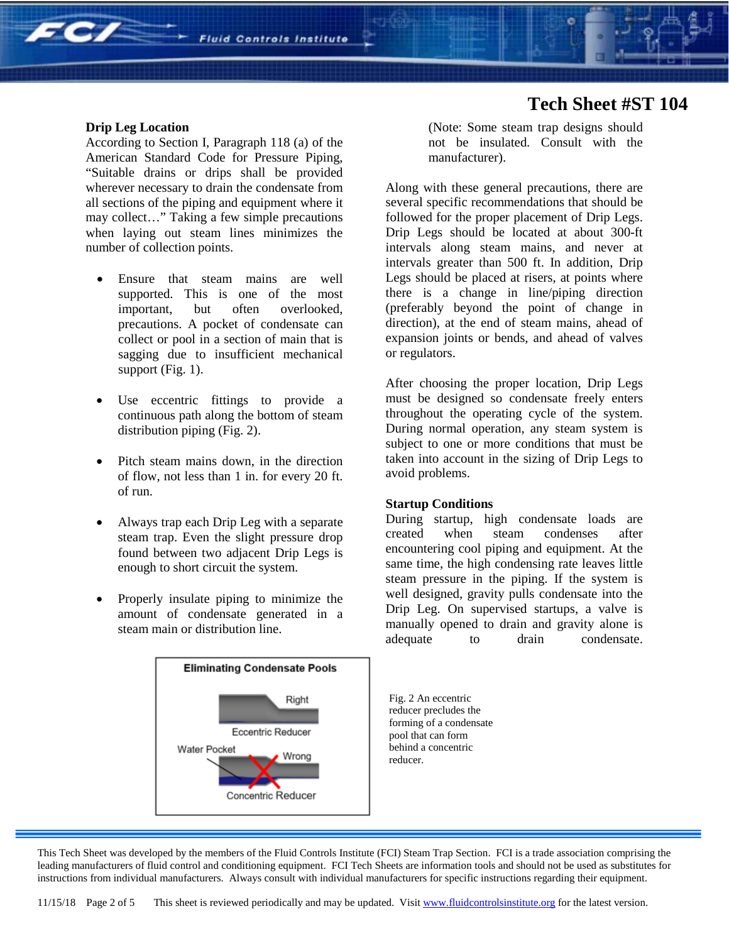#### **Drip Leg Location**

 $FC/$ 

According to Section I, Paragraph 118 (a) of the American Standard Code for Pressure Piping, "Suitable drains or drips shall be provided wherever necessary to drain the condensate from all sections of the piping and equipment where it may collect…" Taking a few simple precautions when laying out steam lines minimizes the number of collection points.

- Ensure that steam mains are well supported. This is one of the most important, but often overlooked, precautions. A pocket of condensate can collect or pool in a section of main that is sagging due to insufficient mechanical support (Fig. 1).
- Use eccentric fittings to provide a continuous path along the bottom of steam distribution piping (Fig. 2).
- Pitch steam mains down, in the direction of flow, not less than 1 in. for every 20 ft. of run.
- Always trap each Drip Leg with a separate steam trap. Even the slight pressure drop found between two adjacent Drip Legs is enough to short circuit the system.
- Properly insulate piping to minimize the amount of condensate generated in a steam main or distribution line.



### **Tech Sheet #ST 104**

(Note: Some steam trap designs should not be insulated. Consult with the manufacturer).

Along with these general precautions, there are several specific recommendations that should be followed for the proper placement of Drip Legs. Drip Legs should be located at about 300-ft intervals along steam mains, and never at intervals greater than 500 ft. In addition, Drip Legs should be placed at risers, at points where there is a change in line/piping direction (preferably beyond the point of change in direction), at the end of steam mains, ahead of expansion joints or bends, and ahead of valves or regulators.

After choosing the proper location, Drip Legs must be designed so condensate freely enters throughout the operating cycle of the system. During normal operation, any steam system is subject to one or more conditions that must be taken into account in the sizing of Drip Legs to avoid problems.

### **Startup Conditions**

During startup, high condensate loads are created when steam condenses after encountering cool piping and equipment. At the same time, the high condensing rate leaves little steam pressure in the piping. If the system is well designed, gravity pulls condensate into the Drip Leg. On supervised startups, a valve is manually opened to drain and gravity alone is adequate to drain condensate.

Fig. 2 An eccentric reducer precludes the forming of a condensate pool that can form behind a concentric reducer.

This Tech Sheet was developed by the members of the Fluid Controls Institute (FCI) Steam Trap Section. FCI is a trade association comprising the leading manufacturers of fluid control and conditioning equipment. FCI Tech Sheets are information tools and should not be used as substitutes for instructions from individual manufacturers. Always consult with individual manufacturers for specific instructions regarding their equipment.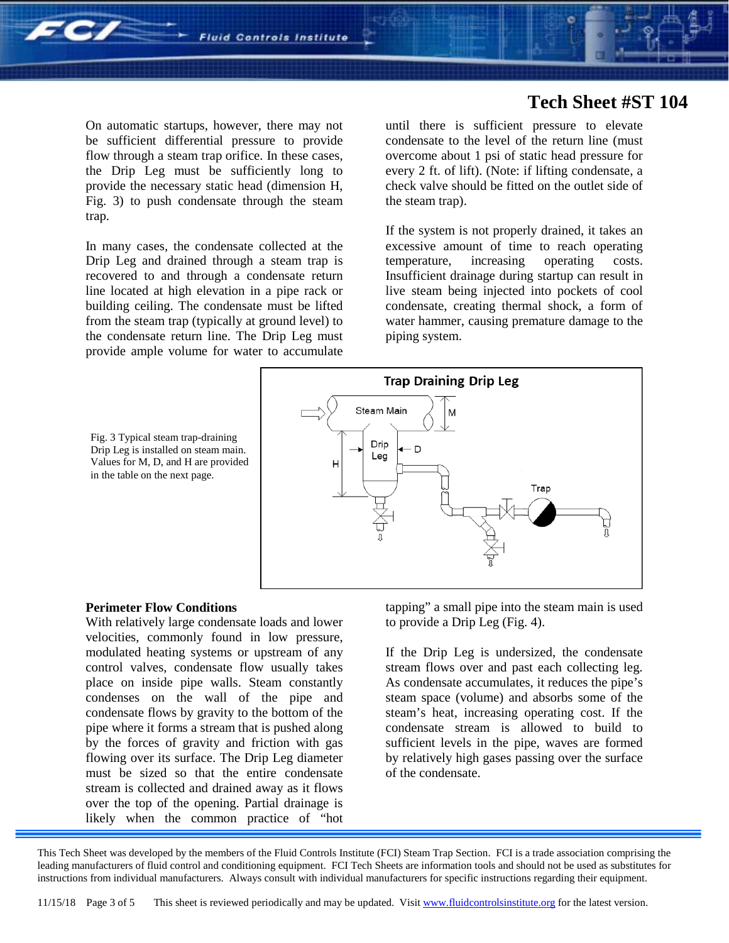

### **Tech Sheet #ST 104**

On automatic startups, however, there may not be sufficient differential pressure to provide flow through a steam trap orifice. In these cases, the Drip Leg must be sufficiently long to provide the necessary static head (dimension H, Fig. 3) to push condensate through the steam trap.

In many cases, the condensate collected at the Drip Leg and drained through a steam trap is recovered to and through a condensate return line located at high elevation in a pipe rack or building ceiling. The condensate must be lifted from the steam trap (typically at ground level) to the condensate return line. The Drip Leg must provide ample volume for water to accumulate

until there is sufficient pressure to elevate condensate to the level of the return line (must overcome about 1 psi of static head pressure for every 2 ft. of lift). (Note: if lifting condensate, a check valve should be fitted on the outlet side of the steam trap).

If the system is not properly drained, it takes an excessive amount of time to reach operating temperature, increasing operating costs. Insufficient drainage during startup can result in live steam being injected into pockets of cool condensate, creating thermal shock, a form of water hammer, causing premature damage to the piping system.



Fig. 3 Typical steam trap-draining Drip Leg is installed on steam main. Values for M, D, and H are provided in the table on the next page.

#### **Perimeter Flow Conditions**

With relatively large condensate loads and lower velocities, commonly found in low pressure, modulated heating systems or upstream of any control valves, condensate flow usually takes place on inside pipe walls. Steam constantly condenses on the wall of the pipe and condensate flows by gravity to the bottom of the pipe where it forms a stream that is pushed along by the forces of gravity and friction with gas flowing over its surface. The Drip Leg diameter must be sized so that the entire condensate stream is collected and drained away as it flows over the top of the opening. Partial drainage is likely when the common practice of "hot

tapping" a small pipe into the steam main is used to provide a Drip Leg (Fig. 4).

If the Drip Leg is undersized, the condensate stream flows over and past each collecting leg. As condensate accumulates, it reduces the pipe's steam space (volume) and absorbs some of the steam's heat, increasing operating cost. If the condensate stream is allowed to build to sufficient levels in the pipe, waves are formed by relatively high gases passing over the surface of the condensate.

This Tech Sheet was developed by the members of the Fluid Controls Institute (FCI) Steam Trap Section. FCI is a trade association comprising the leading manufacturers of fluid control and conditioning equipment. FCI Tech Sheets are information tools and should not be used as substitutes for instructions from individual manufacturers. Always consult with individual manufacturers for specific instructions regarding their equipment.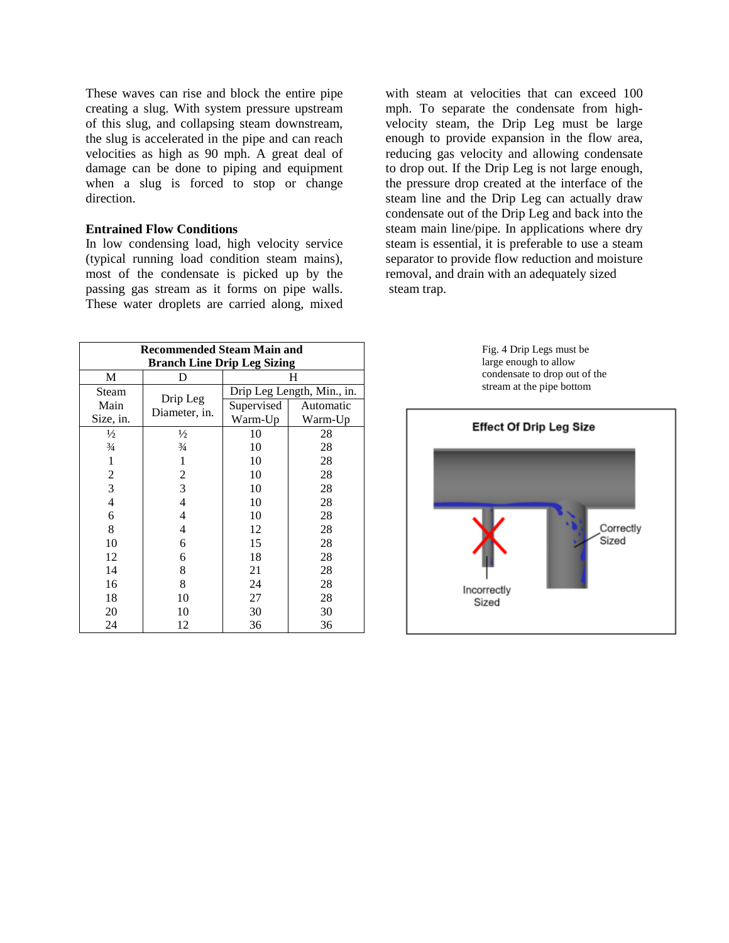These waves can rise and block the entire pipe creating a slug. With system pressure upstream of this slug, and collapsing steam downstream, the slug is accelerated in the pipe and can reach velocities as high as 90 mph. A great deal of damage can be done to piping and equipment when a slug is forced to stop or change direction.

### **Entrained Flow Conditions**

In low condensing load, high velocity service (typical running load condition steam mains), most of the condensate is picked up by the passing gas stream as it forms on pipe walls. These water droplets are carried along, mixed

with steam at velocities that can exceed 100 mph. To separate the condensate from highvelocity steam, the Drip Leg must be large enough to provide expansion in the flow area, reducing gas velocity and allowing condensate to drop out. If the Drip Leg is not large enough, the pressure drop created at the interface of the steam line and the Drip Leg can actually draw condensate out of the Drip Leg and back into the steam main line/pipe. In applications where dry steam is essential, it is preferable to use a steam separator to provide flow reduction and moisture removal, and drain with an adequately sized steam trap.

| <b>Recommended Steam Main and</b>  |                           |                            |           |
|------------------------------------|---------------------------|----------------------------|-----------|
| <b>Branch Line Drip Leg Sizing</b> |                           |                            |           |
| M                                  | D                         | Н                          |           |
| Steam                              |                           | Drip Leg Length, Min., in. |           |
| Main                               | Drip Leg<br>Diameter, in. | Supervised                 | Automatic |
| Size, in.                          |                           | Warm-Up                    | Warm-Up   |
| $\frac{1}{2}$                      | $\frac{1}{2}$             | 10                         | 28        |
| $\frac{3}{4}$                      | $\frac{3}{4}$             | 10                         | 28        |
| 1                                  | 1                         | 10                         | 28        |
| 2                                  | 2                         | 10                         | 28        |
| 3                                  | 3                         | 10                         | 28        |
| 4                                  | 4                         | 10                         | 28        |
| 6                                  | 4                         | 10                         | 28        |
| 8                                  | 4                         | 12                         | 28        |
| 10                                 | 6                         | 15                         | 28        |
| 12                                 | 6                         | 18                         | 28        |
| 14                                 | 8                         | 21                         | 28        |
| 16                                 | 8                         | 24                         | 28        |
| 18                                 | 10                        | 27                         | 28        |
| 20                                 | 10                        | 30                         | 30        |
| 24                                 | 12                        | 36                         | 36        |